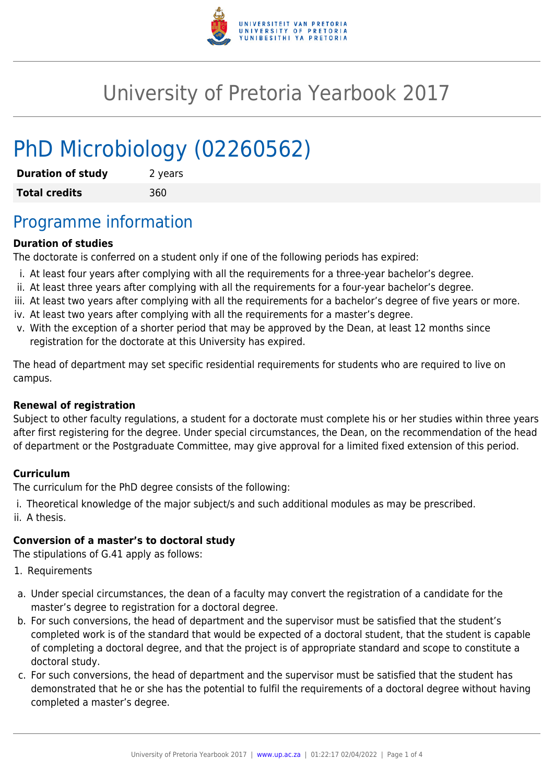

# University of Pretoria Yearbook 2017

# PhD Microbiology (02260562)

| <b>Duration of study</b> | 2 years |
|--------------------------|---------|
| <b>Total credits</b>     | 360     |

## Programme information

#### **Duration of studies**

The doctorate is conferred on a student only if one of the following periods has expired:

- i. At least four years after complying with all the requirements for a three-year bachelor's degree.
- ii. At least three years after complying with all the requirements for a four-year bachelor's degree.
- iii. At least two years after complying with all the requirements for a bachelor's degree of five years or more.
- iv. At least two years after complying with all the requirements for a master's degree.
- v. With the exception of a shorter period that may be approved by the Dean, at least 12 months since registration for the doctorate at this University has expired.

The head of department may set specific residential requirements for students who are required to live on campus.

#### **Renewal of registration**

Subject to other faculty regulations, a student for a doctorate must complete his or her studies within three years after first registering for the degree. Under special circumstances, the Dean, on the recommendation of the head of department or the Postgraduate Committee, may give approval for a limited fixed extension of this period.

#### **Curriculum**

The curriculum for the PhD degree consists of the following:

i. Theoretical knowledge of the major subject/s and such additional modules as may be prescribed. ii. A thesis.

#### **Conversion of a master's to doctoral study**

The stipulations of G.41 apply as follows:

- 1. Requirements
- a. Under special circumstances, the dean of a faculty may convert the registration of a candidate for the master's degree to registration for a doctoral degree.
- b. For such conversions, the head of department and the supervisor must be satisfied that the student's completed work is of the standard that would be expected of a doctoral student, that the student is capable of completing a doctoral degree, and that the project is of appropriate standard and scope to constitute a doctoral study.
- c. For such conversions, the head of department and the supervisor must be satisfied that the student has demonstrated that he or she has the potential to fulfil the requirements of a doctoral degree without having completed a master's degree.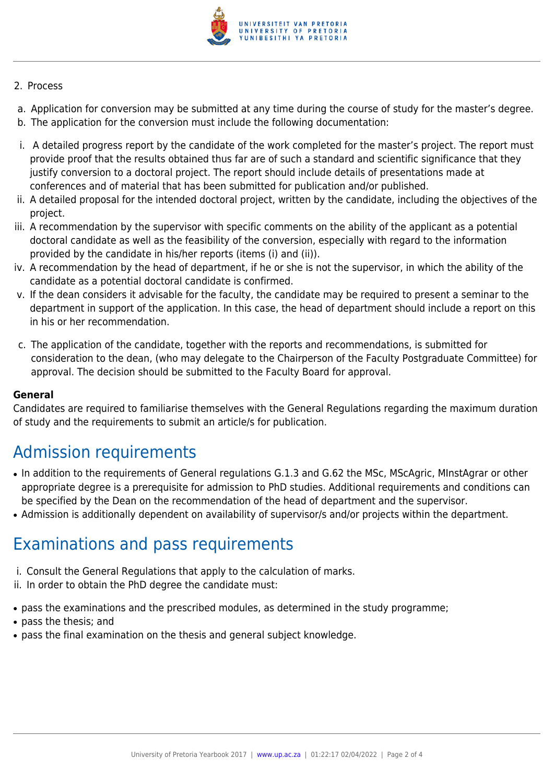

#### 2. Process

- a. Application for conversion may be submitted at any time during the course of study for the master's degree.
- b. The application for the conversion must include the following documentation:
- i. A detailed progress report by the candidate of the work completed for the master's project. The report must provide proof that the results obtained thus far are of such a standard and scientific significance that they justify conversion to a doctoral project. The report should include details of presentations made at conferences and of material that has been submitted for publication and/or published.
- ii. A detailed proposal for the intended doctoral project, written by the candidate, including the objectives of the project.
- iii. A recommendation by the supervisor with specific comments on the ability of the applicant as a potential doctoral candidate as well as the feasibility of the conversion, especially with regard to the information provided by the candidate in his/her reports (items (i) and (ii)).
- iv. A recommendation by the head of department, if he or she is not the supervisor, in which the ability of the candidate as a potential doctoral candidate is confirmed.
- v. If the dean considers it advisable for the faculty, the candidate may be required to present a seminar to the department in support of the application. In this case, the head of department should include a report on this in his or her recommendation.
- c. The application of the candidate, together with the reports and recommendations, is submitted for consideration to the dean, (who may delegate to the Chairperson of the Faculty Postgraduate Committee) for approval. The decision should be submitted to the Faculty Board for approval.

#### **General**

Candidates are required to familiarise themselves with the General Regulations regarding the maximum duration of study and the requirements to submit an article/s for publication.

# Admission requirements

- In addition to the requirements of General requiations G.1.3 and G.62 the MSc, MScAgric, MinstAgrar or other appropriate degree is a prerequisite for admission to PhD studies. Additional requirements and conditions can be specified by the Dean on the recommendation of the head of department and the supervisor.
- Admission is additionally dependent on availability of supervisor/s and/or projects within the department.

### Examinations and pass requirements

- i. Consult the General Regulations that apply to the calculation of marks.
- ii. In order to obtain the PhD degree the candidate must:
- pass the examinations and the prescribed modules, as determined in the study programme;
- pass the thesis; and
- pass the final examination on the thesis and general subject knowledge.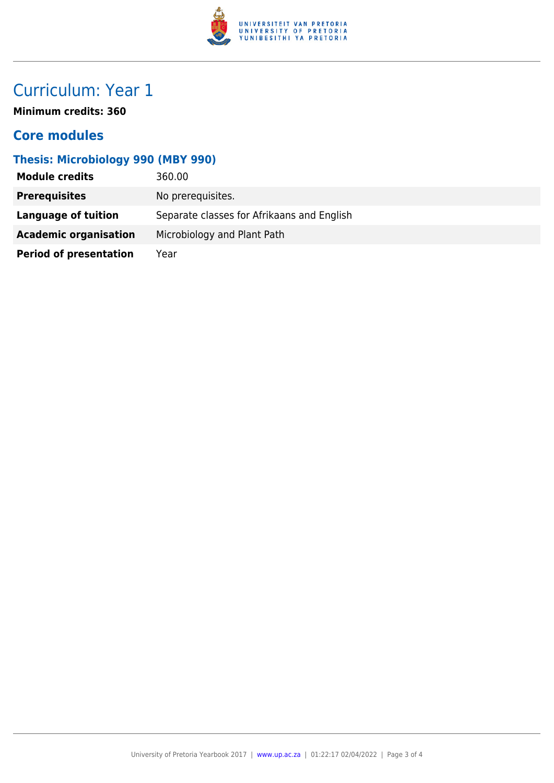

# Curriculum: Year 1

**Minimum credits: 360**

### **Core modules**

### **Thesis: Microbiology 990 (MBY 990)**

| <b>Module credits</b>         | 360.00                                     |
|-------------------------------|--------------------------------------------|
| <b>Prerequisites</b>          | No prerequisites.                          |
| Language of tuition           | Separate classes for Afrikaans and English |
| <b>Academic organisation</b>  | Microbiology and Plant Path                |
| <b>Period of presentation</b> | Year                                       |